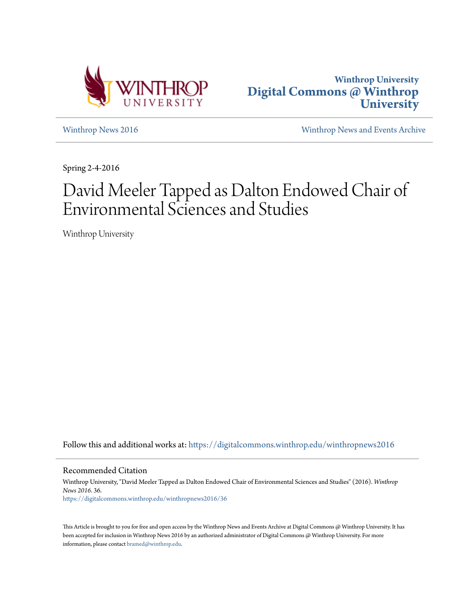



[Winthrop News 2016](https://digitalcommons.winthrop.edu/winthropnews2016?utm_source=digitalcommons.winthrop.edu%2Fwinthropnews2016%2F36&utm_medium=PDF&utm_campaign=PDFCoverPages) [Winthrop News and Events Archive](https://digitalcommons.winthrop.edu/winthropnewsarchives?utm_source=digitalcommons.winthrop.edu%2Fwinthropnews2016%2F36&utm_medium=PDF&utm_campaign=PDFCoverPages)

Spring 2-4-2016

# David Meeler Tapped as Dalton Endowed Chair of Environmental Sciences and Studies

Winthrop University

Follow this and additional works at: [https://digitalcommons.winthrop.edu/winthropnews2016](https://digitalcommons.winthrop.edu/winthropnews2016?utm_source=digitalcommons.winthrop.edu%2Fwinthropnews2016%2F36&utm_medium=PDF&utm_campaign=PDFCoverPages)

Recommended Citation

Winthrop University, "David Meeler Tapped as Dalton Endowed Chair of Environmental Sciences and Studies" (2016). *Winthrop News 2016*. 36. [https://digitalcommons.winthrop.edu/winthropnews2016/36](https://digitalcommons.winthrop.edu/winthropnews2016/36?utm_source=digitalcommons.winthrop.edu%2Fwinthropnews2016%2F36&utm_medium=PDF&utm_campaign=PDFCoverPages)

This Article is brought to you for free and open access by the Winthrop News and Events Archive at Digital Commons @ Winthrop University. It has been accepted for inclusion in Winthrop News 2016 by an authorized administrator of Digital Commons @ Winthrop University. For more information, please contact [bramed@winthrop.edu](mailto:bramed@winthrop.edu).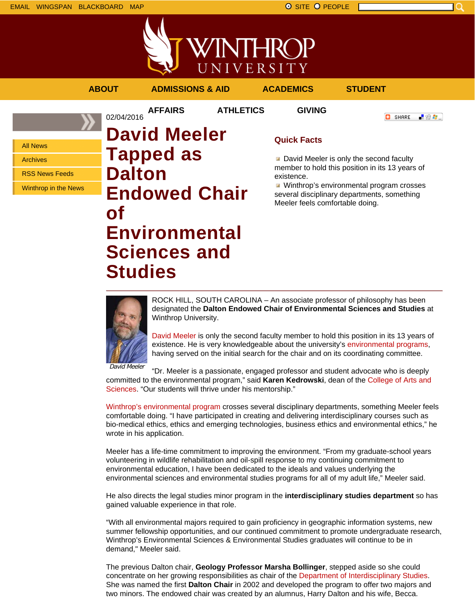

|  | <b>ABOU</b> |  |
|--|-------------|--|
|  |             |  |

02/04/2016

**ADMISSIONS & AID ACADEMICS STUDENT** 

**AFFAIRS ATHLETICS GIVING**

**C** SHARE

■ 验考...

All News

Archives

RSS News Feeds

Winthrop in the News

# **David Meeler Tapped as Dalton Endowed Chair of Environmental Sciences and Studies**

## **Quick Facts**

David Meeler is only the second faculty member to hold this position in its 13 years of existence.

**Winthrop's environmental program crosses** several disciplinary departments, something Meeler feels comfortable doing.



ROCK HILL, SOUTH CAROLINA – An associate professor of philosophy has been designated the **Dalton Endowed Chair of Environmental Sciences and Studies** at Winthrop University.

David Meeler is only the second faculty member to hold this position in its 13 years of existence. He is very knowledgeable about the university's environmental programs, having served on the initial search for the chair and on its coordinating committee.

David Meeler

"Dr. Meeler is a passionate, engaged professor and student advocate who is deeply committed to the environmental program," said **Karen Kedrowski**, dean of the College of Arts and Sciences. "Our students will thrive under his mentorship."

Winthrop's environmental program crosses several disciplinary departments, something Meeler feels comfortable doing. "I have participated in creating and delivering interdisciplinary courses such as bio-medical ethics, ethics and emerging technologies, business ethics and environmental ethics," he wrote in his application.

Meeler has a life-time commitment to improving the environment. "From my graduate-school years volunteering in wildlife rehabilitation and oil-spill response to my continuing commitment to environmental education, I have been dedicated to the ideals and values underlying the environmental sciences and environmental studies programs for all of my adult life," Meeler said.

He also directs the legal studies minor program in the **interdisciplinary studies department** so has gained valuable experience in that role.

"With all environmental majors required to gain proficiency in geographic information systems, new summer fellowship opportunities, and our continued commitment to promote undergraduate research, Winthrop's Environmental Sciences & Environmental Studies graduates will continue to be in demand," Meeler said.

The previous Dalton chair, **Geology Professor Marsha Bollinger**, stepped aside so she could concentrate on her growing responsibilities as chair of the Department of Interdisciplinary Studies. She was named the first **Dalton Chair** in 2002 and developed the program to offer two majors and two minors. The endowed chair was created by an alumnus, Harry Dalton and his wife, Becca.